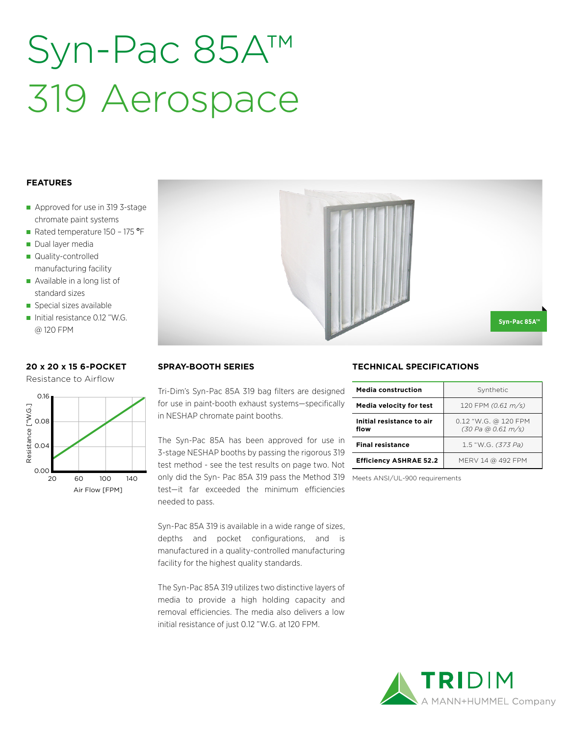## Syn-Pac 85A™ 319 Aerospace

#### **FEATURES**

- Approved for use in 319 3-stage chromate paint systems
- Rated temperature 150 175 °F
- Dual layer media
- Quality-controlled manufacturing facility
- Available in a long list of standard sizes
- Special sizes available
- Initial resistance 0.12 "W.G. @ 120 FPM

### **20 x 20 x 15 6-POCKET**

Resistance to Airflow





#### **SPRAY-BOOTH SERIES**

Tri-Dim's Syn-Pac 85A 319 bag filters are designed for use in paint-booth exhaust systems—specifically in NESHAP chromate paint booths.

The Syn-Pac 85A has been approved for use in 3-stage NESHAP booths by passing the rigorous 319 test method - see the test results on page two. Not only did the Syn- Pac 85A 319 pass the Method 319 Meets ANSI/UL-900 requirementstest—it far exceeded the minimum efficiencies needed to pass.

Syn-Pac 85A 319 is available in a wide range of sizes, depths and pocket configurations, and is manufactured in a quality-controlled manufacturing facility for the highest quality standards.

The Syn-Pac 85A 319 utilizes two distinctive layers of media to provide a high holding capacity and removal efficiencies. The media also delivers a low initial resistance of just 0.12 "W.G. at 120 FPM.

#### **TECHNICAL SPECIFICATIONS**

| Media construction                | Synthetic                                  |  |  |
|-----------------------------------|--------------------------------------------|--|--|
| <b>Media velocity for test</b>    | 120 FPM (0.61 m/s)                         |  |  |
| Initial resistance to air<br>flow | 0.12 "W.G. @ 120 FPM<br>(30 Pa @ 0.61 m/s) |  |  |
| <b>Final resistance</b>           | 1.5 "W.G. (373 Pa)                         |  |  |
| <b>Efficiency ASHRAE 52.2</b>     | MERV 14 @ 492 FPM                          |  |  |